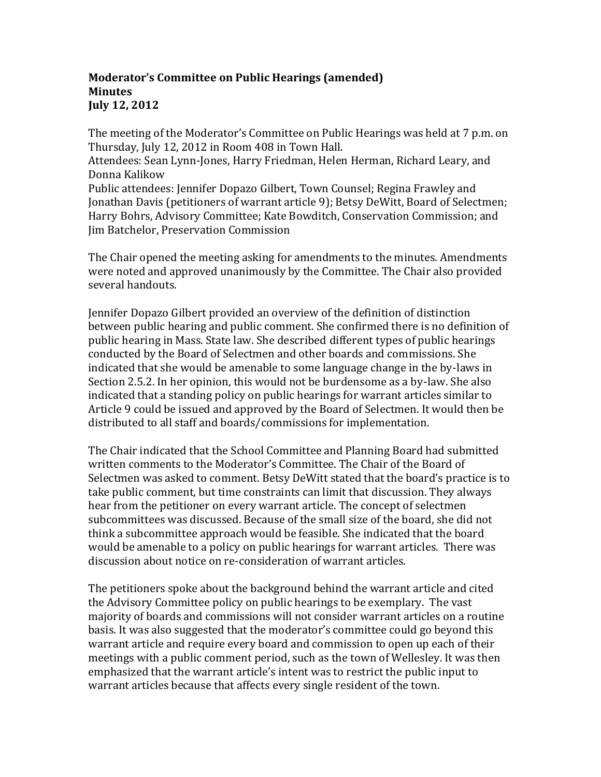## **Moderator's Committee on Public Hearings (amended) Minutes July 12, 2012**

The meeting of the Moderator's Committee on Public Hearings was held at 7 p.m. on Thursday, July 12, 2012 in Room 408 in Town Hall.

Attendees: Sean Lynn-Jones, Harry Friedman, Helen Herman, Richard Leary, and Donna Kalikow

Public attendees: Jennifer Dopazo Gilbert, Town Counsel; Regina Frawley and Jonathan Davis (petitioners of warrant article 9); Betsy DeWitt, Board of Selectmen; Harry Bohrs, Advisory Committee; Kate Bowditch, Conservation Commission; and Jim Batchelor, Preservation Commission

The Chair opened the meeting asking for amendments to the minutes. Amendments were noted and approved unanimously by the Committee. The Chair also provided several handouts.

Jennifer Dopazo Gilbert provided an overview of the definition of distinction between public hearing and public comment. She confirmed there is no definition of public hearing in Mass. State law. She described different types of public hearings conducted by the Board of Selectmen and other boards and commissions. She indicated that she would be amenable to some language change in the by-laws in Section 2.5.2. In her opinion, this would not be burdensome as a by-law. She also indicated that a standing policy on public hearings for warrant articles similar to Article 9 could be issued and approved by the Board of Selectmen. It would then be distributed to all staff and boards/commissions for implementation.

The Chair indicated that the School Committee and Planning Board had submitted written comments to the Moderator's Committee. The Chair of the Board of Selectmen was asked to comment. Betsy DeWitt stated that the board's practice is to take public comment, but time constraints can limit that discussion. They always hear from the petitioner on every warrant article. The concept of selectmen subcommittees was discussed. Because of the small size of the board, she did not think a subcommittee approach would be feasible. She indicated that the board would be amenable to a policy on public hearings for warrant articles. There was discussion about notice on re-consideration of warrant articles.

The petitioners spoke about the background behind the warrant article and cited the Advisory Committee policy on public hearings to be exemplary. The vast majority of boards and commissions will not consider warrant articles on a routine basis. It was also suggested that the moderator's committee could go beyond this warrant article and require every board and commission to open up each of their meetings with a public comment period, such as the town of Wellesley. It was then emphasized that the warrant article's intent was to restrict the public input to warrant articles because that affects every single resident of the town.